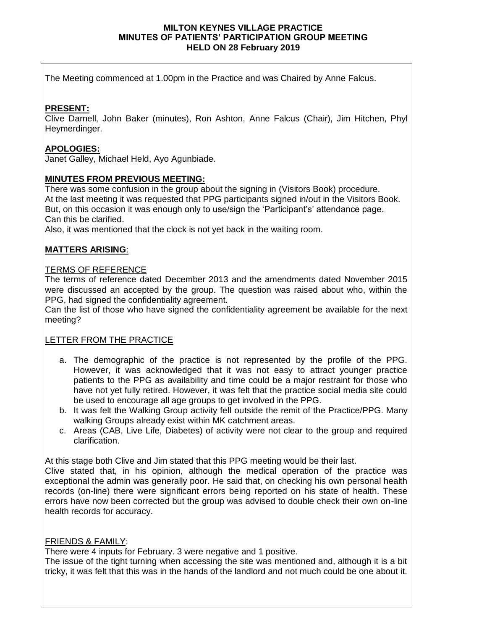#### **MILTON KEYNES VILLAGE PRACTICE MINUTES OF PATIENTS' PARTICIPATION GROUP MEETING HELD ON 28 February 2019**

The Meeting commenced at 1.00pm in the Practice and was Chaired by Anne Falcus.

# **PRESENT:**

Clive Darnell, John Baker (minutes), Ron Ashton, Anne Falcus (Chair), Jim Hitchen, Phyl Heymerdinger.

## **APOLOGIES:**

Janet Galley, Michael Held, Ayo Agunbiade.

## **MINUTES FROM PREVIOUS MEETING:**

There was some confusion in the group about the signing in (Visitors Book) procedure. At the last meeting it was requested that PPG participants signed in/out in the Visitors Book. But, on this occasion it was enough only to use/sign the 'Participant's' attendance page. Can this be clarified.

Also, it was mentioned that the clock is not yet back in the waiting room.

# **MATTERS ARISING**:

#### TERMS OF REFERENCE

The terms of reference dated December 2013 and the amendments dated November 2015 were discussed an accepted by the group. The question was raised about who, within the PPG, had signed the confidentiality agreement.

Can the list of those who have signed the confidentiality agreement be available for the next meeting?

## LETTER FROM THE PRACTICE

- a. The demographic of the practice is not represented by the profile of the PPG. However, it was acknowledged that it was not easy to attract younger practice patients to the PPG as availability and time could be a major restraint for those who have not yet fully retired. However, it was felt that the practice social media site could be used to encourage all age groups to get involved in the PPG.
- b. It was felt the Walking Group activity fell outside the remit of the Practice/PPG. Many walking Groups already exist within MK catchment areas.
- c. Areas (CAB, Live Life, Diabetes) of activity were not clear to the group and required clarification.

At this stage both Clive and Jim stated that this PPG meeting would be their last.

Clive stated that, in his opinion, although the medical operation of the practice was exceptional the admin was generally poor. He said that, on checking his own personal health records (on-line) there were significant errors being reported on his state of health. These errors have now been corrected but the group was advised to double check their own on-line health records for accuracy.

## FRIENDS & FAMILY:

There were 4 inputs for February. 3 were negative and 1 positive.

The issue of the tight turning when accessing the site was mentioned and, although it is a bit tricky, it was felt that this was in the hands of the landlord and not much could be one about it.